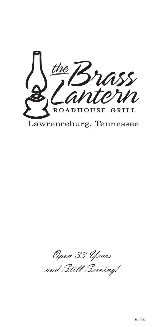the ass<br>terin ROADHOUSE GRILL Lawrenceburg, Tennessee

Open 33 Years and Still Serving!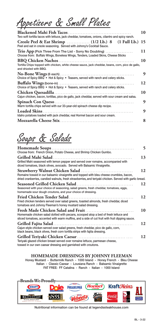Appetizers & Small Plates

| Two soft tortilla tacos with lettuce, jack cheddar, tomatoes, onions, cilantro and spicy ranch.                                             | 10 |
|---------------------------------------------------------------------------------------------------------------------------------------------|----|
| Peel and eat in creole seasoning. Served with Johnny's Cocktail Sauce.                                                                      |    |
| Trio App (Pick Three From The List - Sorry No Doubling)<br>Choose from: Buffalo Wings, Boneless Wings, Tenders, Loaded Skins, Cheese Sticks | 11 |
| Tortilla Chips topped with chicken, white cheese sauce, jack cheddar, beans, corn, pico de gallo,<br>and drizzled with BBQ.                 | 10 |
| Choice of Spicy BBQ • Hot & Spicy • Teasers, served with ranch and celery sticks.                                                           | 9  |
| Choice of Spicy BBQ • Hot & Spicy • Teasers, served with ranch and celery sticks.                                                           | 12 |
| Cajun chicken, bacon, tortillas, pico de gallo, jack cheddar, served with sour cream and salsa.                                             | 10 |
| Warm tortilla chips served with our 33-year-old spinach cheese dip recipe.                                                                  | 9  |
| Idaho potatoes loaded with jack cheddar, real Hormel bacon and sour cream.                                                                  | 9  |
|                                                                                                                                             | 8  |

# Soups & Salads

| Choose from: French Onion, Potato Cheese, and Shrimp Chicken Gumbo.                                                                                                                                                         | 5  |
|-----------------------------------------------------------------------------------------------------------------------------------------------------------------------------------------------------------------------------|----|
| Grilled Mahi Salad .<br>Grilled Mahi seasoned with lemon pepper and served over romaine, accompanied with<br>diced tomatoes, black olives, avocado. Served wth Balsamic Vinaigrette.                                        | 13 |
| Romaine tossed in our balsamic vinaigrette and topped with bleu cheese crumbles, bacon,<br>dried cranberries, candied walnuts, fresh strawberries, and teriyaki chicken. Served with garlic bread.                          | 12 |
| Seasoned with your choice of seasoning, salad greens, fresh cheddar, tomatoes, eggs,<br>homemade sour dough croutons, and your choice of dressing.                                                                          | 12 |
| Fried chicken tenders served over salad greens, toasted almonds, fresh cheddar, diced<br>tomatoes and Johnny Fleeman's honey mustard salad dressing.                                                                        | 12 |
| Fresh Made Chicken Salad and Fruit.<br>Homemade chicken salad dotted with pecans, scooped atop a bed of fresh lettuce and<br>sliced tomatoes, accented with warm muffins, and a side of cut fruit with fruit dipping sauce. | 10 |
| Cajun-style chicken served over salad greens, fresh cheddar, pico de gallo, corn,<br>black beans, black olives, fresh corn tortilla strips with fajita dressing.                                                            | 12 |
| Teriyaki glazed chicken breast served over romaine lettuce, parmesan cheese,<br>tossed in our own caesar dressing and garnished with croutons.                                                                              | 12 |

#### **HOMEMADE DRESSINGS BY JOHNNY FLEEMAN**

Honey Mustard - Buttermilk Ranch - 1000 Island - Honey French - Bleu Cheese Italian - Classic Caesar - Lousiana Ranch - Balsamic Vinaigrette FAT FREE: FF Catalina - Ranch - Italian - 1000 Island



Nutritional information can be found at legendssteakhouse.com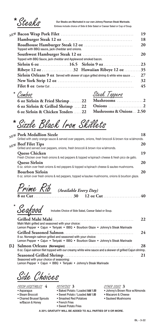**\*** 

Our Steaks are Marinated in our own Johnny Fleeman Steak Marinade.<br>Entrees include choice of Side & Side Salad or Caesar Salad or Cup of Soup.

|                                                                                           | 19 |
|-------------------------------------------------------------------------------------------|----|
|                                                                                           | 18 |
| Topped with BBQ sauce, jack cheddar and onions.                                           | 20 |
| Topped with BBQ Sauce, jack cheddar and Applewood smoked bacon.                           | 20 |
| Sirloin 6 oz $\ldots$ $16.5$ Sirloin 9 oz $\ldots$ $23$                                   |    |
|                                                                                           |    |
| <b>Sirloin Orleans 9 oz</b> Served with skewer of cajun grilled shrimp & white wine sauce |    |
|                                                                                           | 32 |
|                                                                                           | 45 |

Combos **\*** 

| Steak Toppers                                                             |
|---------------------------------------------------------------------------|
| 6 oz Sirloin & Fried Shrimp  22 Mushrooms  2                              |
|                                                                           |
| <b>Mushrooms &amp; Onions  2.50</b><br>6 oz Sirloin & Chicken Tenders  22 |
|                                                                           |

Sizzle Black Iron Skillets **\*** 

|     | NEW Pork Medallion Sizzle<br>Grilled with zesty orange sauce & served over peppers, onions, fresh broccoli & brown rice w/almonds. | 18 |
|-----|------------------------------------------------------------------------------------------------------------------------------------|----|
|     |                                                                                                                                    |    |
| NEW | <b>Beef Filet Tips</b>                                                                                                             | 20 |
|     | Grilled and served over peppers, onions, fresh broccoli & brown rice w/almonds.                                                    |    |
|     | <b>Queso Chicken</b>                                                                                                               | 19 |
|     | Fresh Chicken over fresh onions & red peppers & topped w/spinach cheese & fresh pico de gallo.                                     |    |
|     | Queso Sirloin                                                                                                                      | 20 |
|     | 6 oz. sirloin over fresh onions & red peppers & topped w/spinach cheese & sautee mushrooms.                                        |    |
|     | <b>Bourbon Sirloin</b>                                                                                                             | 20 |
|     | 6 oz. sirloin over fresh onions & red peppers, topped w/sautee mushrooms, onions & bourbon glaze.                                  |    |

Prime Rib *(Available Every Day)*

| $P$ P' $M$ $R$ / $D$ (Available Every Day) |  |  |
|--------------------------------------------|--|--|
|                                            |  |  |

Seafood **\***

Includes Choice of Side Salad, Caesar Salad or Soup.

| Mahi Mahi grilled and seasoned with your choice:                                                                                                | 22. |
|-------------------------------------------------------------------------------------------------------------------------------------------------|-----|
| Lemon Pepper • Cajun • Teriyaki • BBQ • Bourbon Glaze • Johnny's Steak Marinade                                                                 |     |
| 8 oz. Norwegin salmon grilled and seasoned with your choice:<br>Lemon Pepper • Cajun • Teriyaki • BBQ • Bourbon Glaze • Johnny's Steak Marinade | 24  |
| 8 oz. Cajun salmon filet topped with our creamy white wine sauce and a skewer of grilled Cajun shrimp.                                          | 28  |
| Seasoned with your choice of seasoning:<br>Lemon Pepper • Cajun • BBQ • Teriyaki • Johnny's Steak Marinade                                      | 21  |

Side Choices

FRESH VEGETABLES **4**

• Asparagus

**{L}**

- Steam Broccoli • Charred Brussel Sprouts w/Bacon & Honey
- POTATOES **3**
- Baked Potato / Loaded **Add 1.00**
- Sweet Potato / Loaded **Add 1.00**
- Smashed Red Potatoes
- French Fries • Sweet Potato Fries

#### OTHER SIDES **3**

- Johnny's Brown Rice w/Almonds
- Macaroni & Cheese
- Sauteed Mushrooms

**A 20% GRATUITY WILL BE ADDED TO ALL PARTIES OF 8 OR MORE.**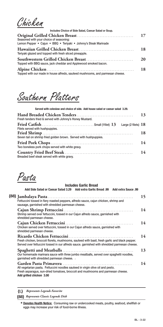Chicken

| Includes Choice of Side Salad, Caesar Salad or Soup.                                                       |           |
|------------------------------------------------------------------------------------------------------------|-----------|
| Seasoned with your choice of seasoning:<br>Lemon Pepper • Cajun • BBQ • Teriyaki • Johnny's Steak Marinade | 17        |
| Teriyaki glazed and topped with fresh sliced pineapple.                                                    | 18        |
| Topped with BBQ sauce, jack cheddar and Applewood smoked bacon.                                            | <b>20</b> |
| Topped with our made in house alfredo, sauteed mushrooms, and parmesan cheese.                             | 18        |

Southern Platters

| Served with coleslaw and choice of side. Add house salad or caesar salad 3.29. |    |
|--------------------------------------------------------------------------------|----|
| Fresh tenders fried & served with Johnny's Honey Mustard.                      | 13 |
| Large (2 filets) $18$<br>Filets served with hushpuppies.                       |    |
| Seven tail on shrimp fried golden brown. Served with hushpuppies.              | 18 |
| Two boneless pork chops served with white gravy.                               | 14 |
| Breaded beef steak served with white gravy.                                    | 14 |

Pasta

| <b>Includes Garlic Bread</b>                                                                                                                                                                    |    |
|-------------------------------------------------------------------------------------------------------------------------------------------------------------------------------------------------|----|
| Add Side Salad or Caesar Salad 3.29 Add extra Garlic Bread .99 Add extra Sauce .99                                                                                                              |    |
| Fettuccini tossed in fiery roasted peppers, alfredo sauce, cajun chicken, shrimp and<br>sausage, garnished with shredded parmesan cheese.                                                       | 15 |
| Shrimp served over fettuccini, tossed in our Cajun alfredo sauce, garnished with<br>shredded parmesan cheese.                                                                                   | 14 |
| Chicken served over fettuccini, tossed in our Cajun alfredo sauce, garnished with<br>shredded parmesan cheese.                                                                                  | 14 |
| Fresh chicken, broccoli florets, mushrooms, sauteed with basil, fresh garlic and black pepper.<br>Served over fettuccini tossed in our alfredo sauce. garnished with shredded parmesan cheese.  | 14 |
| Our homemade marinara sauce with three jumbo meatballs, served over spaghetti noodles,<br>garnished with shredded parmesan cheese. .                                                            | 13 |
| All vegetarian pasta. Fettuccini noodles sauteed in virgin olive oil and pesto.<br>Fresh asparagus, sun-dried tomatoes, broccoli and mushrooms and parmesan cheese.<br>Add grilled chicken 3.00 | 14 |

**{L}** *Represents Legends Favorite*

**{88}** *Represents Classic Legends Dish*

**Denotes Health Notice:** Consuming raw or undercooked meats, poultry, seafood, shellfish or **\*** eggs may increase your risk of food-borne illness.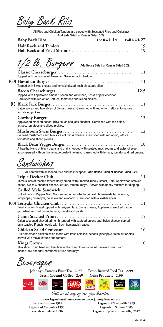Baby Back Ribs

All Ribs and Chicken Tenders are served with Seasoned Fries and Coleslaw. **Add Side Salad or Caesar Salad 3.29.**

|  | -19 |  |
|--|-----|--|
|  |     |  |

**Surgers** Add House Salad or Caesar Salad 3.29. **Classic Cheeseburger**. . . . . . . . . . . . . . . . . . . . . . . . . . . . . . . . . . . . . . . . . . . . . . . **11** Topped with two slices of American, Swiss or jack cheddar. **Hawaiian Burger**. . . . . . . . . . . . . . . . . . . . . . . . . . . . . . . . . . . . . . . . . . . . . . . . . . . . **11 {88}** Topped with Swiss cheese and teriyaki glazed fresh pineapple slice. **Bacon Cheeseburger**. . . . . . . . . . . . . . . . . . . . . . . . . . . . . . . . . . . . . . . . . . . . . . . . **12.5** Topped with Applewood smoked bacon and American, Swiss or jack cheddar. Garnished with red onion, lettuce, tomatoes and sliced pickles. **Black Jack Burger**. . . . . . . . . . . . . . . . . . . . . . . . . . . . . . . . . . . . . . . . . . . . . . . . . . . **11 {L}** Cajun spices and two slices of Swiss cheese. Garnished with red onion, lettuce, tomatoes and sliced pickles. **Cowboy Burger** . . . . . . . . . . . . . . . . . . . . . . . . . . . . . . . . . . . . . . . . . . . . . . . . . . . . . **13** Applewood smoked bacon, BBQ sauce and jack cheddar. Garnished with red onion, lettuce, tomatoes and sliced pickles. **Mushroom Swiss Burger**. . . . . . . . . . . . . . . . . . . . . . . . . . . . . . . . . . . . . . . . . . . **12** Sauteed mushrooms and two slices of Swiss cheese. Garnished with red onion, lettuce, tomatoes and sliced pickles. **Black Bean Veggie Burger** . . . . . . . . . . . . . . . . . . . . . . . . . . . . . . . . . . . . . . . . . . **10** A healthy blend of black beans and grains topped with sauteed mushrooms and swiss cheese, accompanied with our homemade pesto lime mayo, garnished with lettuce, tomato, and red onions.

Sandwiches

| Three slices of toasted Wheat Berry bread, with Smoked Turkey Breast, Ham, Applewood smoked<br>bacon, Swiss & cheddar cheese, lettuce, tomato, mayo. Served with honey mustard for dipping.<br><b>Grilled Mahi Sandwich</b><br>Grilled Lemon Pepper Mahi Mahi served on a ciabatta bun with homemade tartar, sauce,<br>red pepper, pineapple, coleslaw and avocado. Garnished with a kosher spear.<br>Fresh chicken breast topped with teriyaki glaze, Swiss cheese, Applewood smoked bacon,<br>garnished with red onion, lettuce, tomato and pickle.<br>Cajun seasoned shaved prime rib topped with sauteed onions and Swiss cheese, served<br>on a toasted French hoagie with fresh horseradish sauce.<br>Our homemade chicken salad made with fresh chicken, pecans, pineapple, fresh cut apples,<br>served with mayo, lettuce and tomato.<br>Thin sliced roast beef and ham layered between three slices of Hawaiian bread with | All served with seasoned fries and kosher spear. Add House Salad or Caesar Salad 3.29. |
|-------------------------------------------------------------------------------------------------------------------------------------------------------------------------------------------------------------------------------------------------------------------------------------------------------------------------------------------------------------------------------------------------------------------------------------------------------------------------------------------------------------------------------------------------------------------------------------------------------------------------------------------------------------------------------------------------------------------------------------------------------------------------------------------------------------------------------------------------------------------------------------------------------------------------------------|----------------------------------------------------------------------------------------|
|                                                                                                                                                                                                                                                                                                                                                                                                                                                                                                                                                                                                                                                                                                                                                                                                                                                                                                                                     | 11                                                                                     |
|                                                                                                                                                                                                                                                                                                                                                                                                                                                                                                                                                                                                                                                                                                                                                                                                                                                                                                                                     |                                                                                        |
|                                                                                                                                                                                                                                                                                                                                                                                                                                                                                                                                                                                                                                                                                                                                                                                                                                                                                                                                     | 12                                                                                     |
|                                                                                                                                                                                                                                                                                                                                                                                                                                                                                                                                                                                                                                                                                                                                                                                                                                                                                                                                     | 11                                                                                     |
|                                                                                                                                                                                                                                                                                                                                                                                                                                                                                                                                                                                                                                                                                                                                                                                                                                                                                                                                     |                                                                                        |
|                                                                                                                                                                                                                                                                                                                                                                                                                                                                                                                                                                                                                                                                                                                                                                                                                                                                                                                                     | 15                                                                                     |
|                                                                                                                                                                                                                                                                                                                                                                                                                                                                                                                                                                                                                                                                                                                                                                                                                                                                                                                                     | 10                                                                                     |
| melted jack cheddar, shredded lettuce and mayo.                                                                                                                                                                                                                                                                                                                                                                                                                                                                                                                                                                                                                                                                                                                                                                                                                                                                                     | 10                                                                                     |

Beverages

 $\mathbf{C}^{\mathcal{D}iet}_{\mathbf{R}}$ 



Visit us at any of our fine locations:

 $C$ Rd

FLASHIN'

**www.legendssteakhouse.com or www.johnnyfleeman.com The Brass Lantern 1988 Legends of Columbia 1993 Legends of Pulaski 1996 Legends of Shelbyville 1999 Legends of Smyrna 2005 Legends Express (Brisketville) 2017**